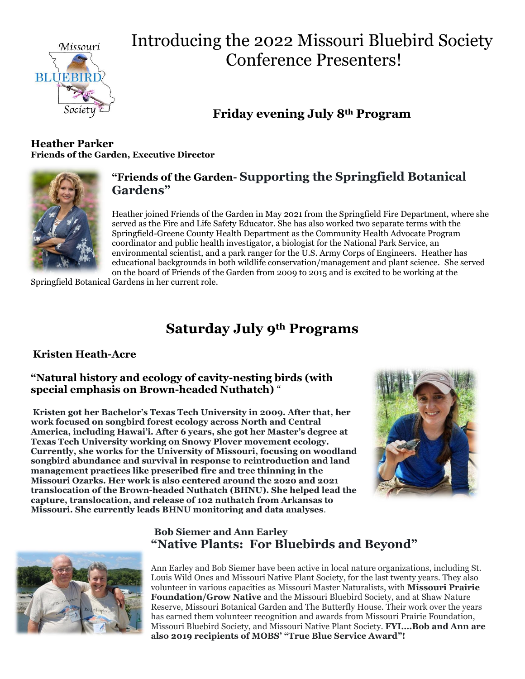

# Introducing the 2022 Missouri Bluebird Society Conference Presenters!

## **Friday evening July 8th Program**

#### **Heather Parker Friends of the Garden, Executive Director**



#### **"Friends of the Garden- Supporting the Springfield Botanical Gardens"**

Heather joined Friends of the Garden in May 2021 from the Springfield Fire Department, where she served as the Fire and Life Safety Educator. She has also worked two separate terms with the Springfield-Greene County Health Department as the Community Health Advocate Program coordinator and public health investigator, a biologist for the National Park Service, an environmental scientist, and a park ranger for the U.S. Army Corps of Engineers. Heather has educational backgrounds in both wildlife conservation/management and plant science. She served on the board of Friends of the Garden from 2009 to 2015 and is excited to be working at the

Springfield Botanical Gardens in her current role.

### **Saturday July 9th Programs**

#### **Kristen Heath-Acre**

#### **"Natural history and ecology of cavity-nesting birds (with special emphasis on Brown-headed Nuthatch)** "

**Kristen got her Bachelor's Texas Tech University in 2009. After that, her work focused on songbird forest ecology across North and Central America, including Hawai'i. After 6 years, she got her Master's degree at Texas Tech University working on Snowy Plover movement ecology. Currently, she works for the University of Missouri, focusing on woodland songbird abundance and survival in response to reintroduction and land management practices like prescribed fire and tree thinning in the Missouri Ozarks. Her work is also centered around the 2020 and 2021 translocation of the Brown-headed Nuthatch (BHNU). She helped lead the capture, translocation, and release of 102 nuthatch from Arkansas to Missouri. She currently leads BHNU monitoring and data analyses**.





#### **Bob Siemer and Ann Earley "Native Plants: For Bluebirds and Beyond"**

Ann Earley and Bob Siemer have been active in local nature organizations, including St. Louis Wild Ones and Missouri Native Plant Society, for the last twenty years. They also volunteer in various capacities as Missouri Master Naturalists, with **Missouri Prairie Foundation/Grow Native** and the Missouri Bluebird Society, and at Shaw Nature Reserve, Missouri Botanical Garden and The Butterfly House. Their work over the years has earned them volunteer recognition and awards from Missouri Prairie Foundation, Missouri Bluebird Society, and Missouri Native Plant Society. **FYI….Bob and Ann are also 2019 recipients of MOBS' "True Blue Service Award"!**